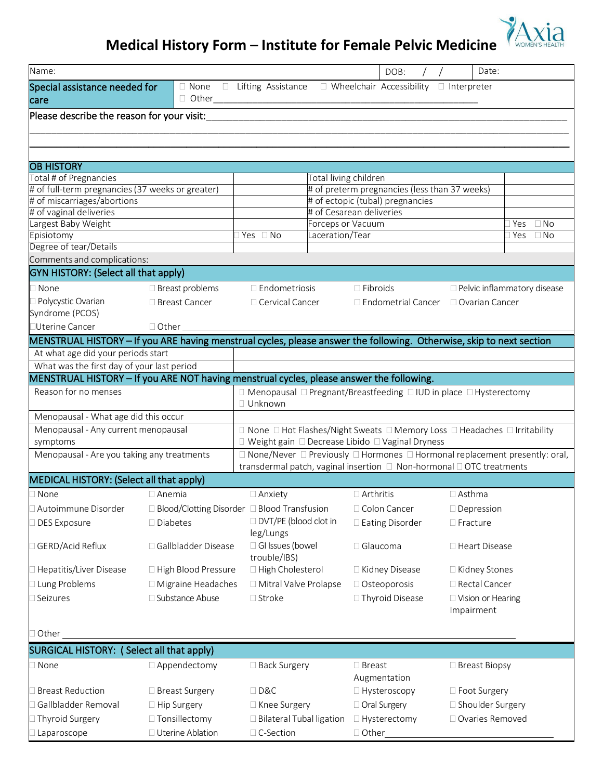# **Medical History Form – Institute for Female Pelvic Medicine**

| Name:                                                                                                                |                                               |                                                                                         |                                                    | DOB:                                               |                 | Date:                                                                                            |
|----------------------------------------------------------------------------------------------------------------------|-----------------------------------------------|-----------------------------------------------------------------------------------------|----------------------------------------------------|----------------------------------------------------|-----------------|--------------------------------------------------------------------------------------------------|
| Special assistance needed for                                                                                        | □ None<br>$\Box$                              | Lifting Assistance                                                                      | $\Box$ Wheelchair Accessibility $\Box$ Interpreter |                                                    |                 |                                                                                                  |
| care                                                                                                                 | Other___                                      |                                                                                         |                                                    |                                                    |                 |                                                                                                  |
| Please describe the reason for your visit:                                                                           |                                               |                                                                                         |                                                    |                                                    |                 |                                                                                                  |
|                                                                                                                      |                                               |                                                                                         |                                                    |                                                    |                 |                                                                                                  |
|                                                                                                                      |                                               |                                                                                         |                                                    |                                                    |                 |                                                                                                  |
| <b>OB HISTORY</b>                                                                                                    |                                               |                                                                                         |                                                    |                                                    |                 |                                                                                                  |
| Total # of Pregnancies                                                                                               |                                               |                                                                                         | Total living children                              |                                                    |                 |                                                                                                  |
| # of full-term pregnancies (37 weeks or greater)                                                                     |                                               |                                                                                         | # of preterm pregnancies (less than 37 weeks)      |                                                    |                 |                                                                                                  |
| # of miscarriages/abortions                                                                                          |                                               |                                                                                         | # of ectopic (tubal) pregnancies                   |                                                    |                 |                                                                                                  |
| # of vaginal deliveries                                                                                              |                                               |                                                                                         | # of Cesarean deliveries                           |                                                    |                 |                                                                                                  |
| Largest Baby Weight                                                                                                  |                                               |                                                                                         | <b>Forceps or Vacuum</b>                           |                                                    |                 | ∃ Yes<br>$\Box$ No                                                                               |
| Episiotomy<br>Degree of tear/Details                                                                                 |                                               | $\exists$ Yes<br>$\Box$ No                                                              | Laceration/Tear                                    |                                                    |                 | $\Box$ No<br>∃ Yes                                                                               |
| Comments and complications:                                                                                          |                                               |                                                                                         |                                                    |                                                    |                 |                                                                                                  |
| <b>GYN HISTORY: (Select all that apply)</b>                                                                          |                                               |                                                                                         |                                                    |                                                    |                 |                                                                                                  |
| $\Box$ None                                                                                                          | □ Breast problems                             | $\Box$ Endometriosis                                                                    | $\Box$ Fibroids                                    |                                                    |                 | □ Pelvic inflammatory disease                                                                    |
| Polycystic Ovarian                                                                                                   | □ Breast Cancer                               | □ Cervical Cancer                                                                       |                                                    | $\Box$ Endometrial Cancer $\Box$ Ovarian Cancer    |                 |                                                                                                  |
| Syndrome (PCOS)                                                                                                      |                                               |                                                                                         |                                                    |                                                    |                 |                                                                                                  |
| □Uterine Cancer                                                                                                      | $\Box$ Other                                  |                                                                                         |                                                    |                                                    |                 |                                                                                                  |
| MENSTRUAL HISTORY - If you ARE having menstrual cycles, please answer the following. Otherwise, skip to next section |                                               |                                                                                         |                                                    |                                                    |                 |                                                                                                  |
| At what age did your periods start                                                                                   |                                               |                                                                                         |                                                    |                                                    |                 |                                                                                                  |
| What was the first day of your last period                                                                           |                                               |                                                                                         |                                                    |                                                    |                 |                                                                                                  |
| MENSTRUAL HISTORY - If you ARE NOT having menstrual cycles, please answer the following.                             |                                               |                                                                                         |                                                    |                                                    |                 |                                                                                                  |
| Reason for no menses                                                                                                 |                                               | $\Box$ Menopausal $\Box$ Pregnant/Breastfeeding $\Box$ IUD in place $\Box$ Hysterectomy |                                                    |                                                    |                 |                                                                                                  |
|                                                                                                                      |                                               | □ Unknown                                                                               |                                                    |                                                    |                 |                                                                                                  |
| Menopausal - What age did this occur                                                                                 |                                               |                                                                                         |                                                    |                                                    |                 |                                                                                                  |
| Menopausal - Any current menopausal                                                                                  |                                               |                                                                                         |                                                    |                                                    |                 | □ None □ Hot Flashes/Night Sweats □ Memory Loss □ Headaches □ Irritability                       |
| symptoms<br>Menopausal - Are you taking any treatments                                                               |                                               | □ Weight gain □ Decrease Libido □ Vaginal Dryness                                       |                                                    |                                                    |                 | $\Box$ None/Never $\Box$ Previously $\Box$ Hormones $\Box$ Hormonal replacement presently: oral, |
|                                                                                                                      |                                               | transdermal patch, vaginal insertion □ Non-hormonal □ OTC treatments                    |                                                    |                                                    |                 |                                                                                                  |
| MEDICAL HISTORY: (Select all that apply)                                                                             |                                               |                                                                                         |                                                    |                                                    |                 |                                                                                                  |
| $\square$ None                                                                                                       | $\Box$ Anemia                                 | $\Box$ Anxiety                                                                          | $\Box$ Arthritis                                   |                                                    | $\Box$ Asthma   |                                                                                                  |
| Autoimmune Disorder                                                                                                  | □ Blood/Clotting Disorder □ Blood Transfusion |                                                                                         | □ Colon Cancer                                     |                                                    | □ Depression    |                                                                                                  |
| DES Exposure                                                                                                         | □ Diabetes                                    | □ DVT/PE (blood clot in                                                                 |                                                    | □ Eating Disorder                                  | $\Box$ Fracture |                                                                                                  |
|                                                                                                                      |                                               | leg/Lungs                                                                               |                                                    |                                                    |                 |                                                                                                  |
| □ GERD/Acid Reflux                                                                                                   | Gallbladder Disease                           | □ GI Issues (bowel                                                                      | □ Glaucoma                                         |                                                    |                 | □ Heart Disease                                                                                  |
|                                                                                                                      |                                               | trouble/IBS)                                                                            |                                                    |                                                    |                 |                                                                                                  |
| □ Hepatitis/Liver Disease                                                                                            | □ High Blood Pressure                         | □ High Cholesterol                                                                      |                                                    | □ Kidney Disease                                   |                 | □ Kidney Stones                                                                                  |
| □ Lung Problems                                                                                                      | □ Migraine Headaches                          | □ Mitral Valve Prolapse                                                                 | □ Osteoporosis                                     |                                                    |                 | □ Rectal Cancer                                                                                  |
| Seizures                                                                                                             | □ Substance Abuse                             | $\square$ Stroke                                                                        |                                                    | □ Thyroid Disease                                  |                 | □ Vision or Hearing                                                                              |
|                                                                                                                      |                                               |                                                                                         |                                                    |                                                    | Impairment      |                                                                                                  |
| Other                                                                                                                |                                               |                                                                                         |                                                    |                                                    |                 |                                                                                                  |
|                                                                                                                      |                                               |                                                                                         |                                                    |                                                    |                 |                                                                                                  |
| SURGICAL HISTORY: (Select all that apply)                                                                            |                                               |                                                                                         |                                                    |                                                    |                 |                                                                                                  |
| $\Box$ None                                                                                                          | □ Appendectomy                                | □ Back Surgery                                                                          | □ Breast<br>Augmentation                           |                                                    |                 | □ Breast Biopsy                                                                                  |
| Breast Reduction                                                                                                     | □ Breast Surgery                              | $\Box$ D&C                                                                              |                                                    |                                                    |                 |                                                                                                  |
| Gallbladder Removal                                                                                                  | □ Hip Surgery                                 | □ Knee Surgery                                                                          |                                                    | □ Hysteroscopy<br>□ Foot Surgery<br>□ Oral Surgery |                 | □ Shoulder Surgery                                                                               |
| Thyroid Surgery                                                                                                      | □ Tonsillectomy                               | □ Bilateral Tubal ligation                                                              |                                                    | □ Hysterectomy                                     |                 | □ Ovaries Removed                                                                                |
|                                                                                                                      |                                               |                                                                                         |                                                    |                                                    |                 |                                                                                                  |
| Laparoscope                                                                                                          | □ Uterine Ablation                            | $\Box$ C-Section                                                                        | $\Box$ Other_                                      |                                                    |                 |                                                                                                  |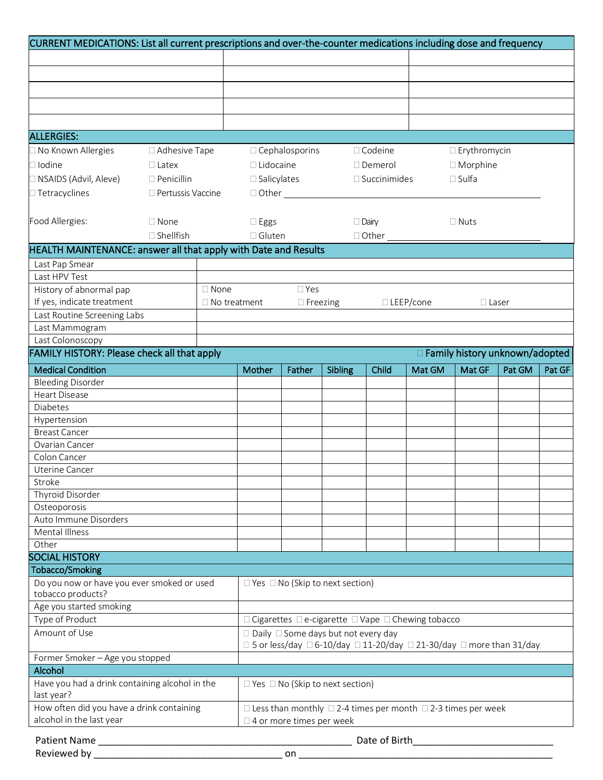| CURRENT MEDICATIONS: List all current prescriptions and over-the-counter medications including dose and frequency |                                                                       |                     |                    |                            |                                             |                        |                                                                               |                                  |        |        |
|-------------------------------------------------------------------------------------------------------------------|-----------------------------------------------------------------------|---------------------|--------------------|----------------------------|---------------------------------------------|------------------------|-------------------------------------------------------------------------------|----------------------------------|--------|--------|
|                                                                                                                   |                                                                       |                     |                    |                            |                                             |                        |                                                                               |                                  |        |        |
|                                                                                                                   |                                                                       |                     |                    |                            |                                             |                        |                                                                               |                                  |        |        |
|                                                                                                                   |                                                                       |                     |                    |                            |                                             |                        |                                                                               |                                  |        |        |
|                                                                                                                   |                                                                       |                     |                    |                            |                                             |                        |                                                                               |                                  |        |        |
|                                                                                                                   |                                                                       |                     |                    |                            |                                             |                        |                                                                               |                                  |        |        |
|                                                                                                                   |                                                                       |                     |                    |                            |                                             |                        |                                                                               |                                  |        |        |
| <b>ALLERGIES:</b>                                                                                                 |                                                                       |                     |                    |                            |                                             |                        |                                                                               |                                  |        |        |
| □ No Known Allergies                                                                                              | □ Adhesive Tape                                                       |                     |                    | $\Box$ Cephalosporins      |                                             | $\Box$ Codeine         |                                                                               | $\Box$ Erythromycin              |        |        |
| $\Box$ Iodine                                                                                                     | $\Box$ Latex                                                          |                     | $\Box$ Lidocaine   |                            |                                             | $\Box$ Demerol         | $\Box$ Morphine                                                               |                                  |        |        |
| □ NSAIDS (Advil, Aleve)                                                                                           | $\Box$ Penicillin                                                     |                     | $\Box$ Salicylates |                            |                                             | $\square$ Succinimides |                                                                               | $\square$ Sulfa                  |        |        |
| $\Box$ Tetracyclines                                                                                              | □ Pertussis Vaccine                                                   |                     |                    | $\Box$ Other $\_\_$        |                                             |                        |                                                                               |                                  |        |        |
|                                                                                                                   |                                                                       |                     |                    |                            |                                             |                        |                                                                               |                                  |        |        |
|                                                                                                                   |                                                                       |                     |                    |                            |                                             |                        |                                                                               |                                  |        |        |
| Food Allergies:                                                                                                   | $\Box$ None                                                           |                     | $\square$ Eggs     |                            |                                             | $\Box$ Dairy           |                                                                               | $\Box$ Nuts                      |        |        |
|                                                                                                                   | $\Box$ Shellfish                                                      |                     | $\Box$ Gluten      |                            |                                             |                        | $\Box$ Other $\Box$                                                           |                                  |        |        |
| HEALTH MAINTENANCE: answer all that apply with Date and Results                                                   |                                                                       |                     |                    |                            |                                             |                        |                                                                               |                                  |        |        |
| Last Pap Smear                                                                                                    |                                                                       |                     |                    |                            |                                             |                        |                                                                               |                                  |        |        |
| Last HPV Test                                                                                                     |                                                                       |                     |                    |                            |                                             |                        |                                                                               |                                  |        |        |
| History of abnormal pap                                                                                           |                                                                       | $\Box$ None         |                    | $\Box$ Yes                 |                                             |                        |                                                                               |                                  |        |        |
| If yes, indicate treatment                                                                                        |                                                                       | $\Box$ No treatment |                    | $\Box$ Freezing            |                                             |                        | $\Box$ LEEP/cone                                                              | $\Box$ Laser                     |        |        |
| Last Routine Screening Labs                                                                                       |                                                                       |                     |                    |                            |                                             |                        |                                                                               |                                  |        |        |
| Last Mammogram                                                                                                    |                                                                       |                     |                    |                            |                                             |                        |                                                                               |                                  |        |        |
| Last Colonoscopy                                                                                                  |                                                                       |                     |                    |                            |                                             |                        |                                                                               |                                  |        |        |
| FAMILY HISTORY: Please check all that apply                                                                       |                                                                       |                     |                    |                            |                                             |                        |                                                                               | □ Family history unknown/adopted |        |        |
| <b>Medical Condition</b>                                                                                          |                                                                       |                     | Mother             | Father                     | Sibling                                     | Child                  | Mat GM                                                                        | Mat GF                           | Pat GM | Pat GF |
| <b>Bleeding Disorder</b>                                                                                          |                                                                       |                     |                    |                            |                                             |                        |                                                                               |                                  |        |        |
| <b>Heart Disease</b>                                                                                              |                                                                       |                     |                    |                            |                                             |                        |                                                                               |                                  |        |        |
| Diabetes                                                                                                          |                                                                       |                     |                    |                            |                                             |                        |                                                                               |                                  |        |        |
| Hypertension                                                                                                      |                                                                       |                     |                    |                            |                                             |                        |                                                                               |                                  |        |        |
| <b>Breast Cancer</b><br>Ovarian Cancer                                                                            |                                                                       |                     |                    |                            |                                             |                        |                                                                               |                                  |        |        |
| Colon Cancer                                                                                                      |                                                                       |                     |                    |                            |                                             |                        |                                                                               |                                  |        |        |
| Uterine Cancer                                                                                                    |                                                                       |                     |                    |                            |                                             |                        |                                                                               |                                  |        |        |
| Stroke                                                                                                            |                                                                       |                     |                    |                            |                                             |                        |                                                                               |                                  |        |        |
| Thyroid Disorder                                                                                                  |                                                                       |                     |                    |                            |                                             |                        |                                                                               |                                  |        |        |
| Osteoporosis                                                                                                      |                                                                       |                     |                    |                            |                                             |                        |                                                                               |                                  |        |        |
| Auto Immune Disorders                                                                                             |                                                                       |                     |                    |                            |                                             |                        |                                                                               |                                  |        |        |
| Mental Illness                                                                                                    |                                                                       |                     |                    |                            |                                             |                        |                                                                               |                                  |        |        |
| Other                                                                                                             |                                                                       |                     |                    |                            |                                             |                        |                                                                               |                                  |        |        |
| <b>SOCIAL HISTORY</b>                                                                                             |                                                                       |                     |                    |                            |                                             |                        |                                                                               |                                  |        |        |
| Tobacco/Smoking                                                                                                   |                                                                       |                     |                    |                            |                                             |                        |                                                                               |                                  |        |        |
| Do you now or have you ever smoked or used                                                                        |                                                                       |                     |                    |                            | $\Box$ Yes $\Box$ No (Skip to next section) |                        |                                                                               |                                  |        |        |
| tobacco products?                                                                                                 |                                                                       |                     |                    |                            |                                             |                        |                                                                               |                                  |        |        |
| Age you started smoking                                                                                           |                                                                       |                     |                    |                            |                                             |                        |                                                                               |                                  |        |        |
| Type of Product                                                                                                   |                                                                       |                     |                    |                            |                                             |                        | □ Cigarettes □ e-cigarette □ Vape □ Chewing tobacco                           |                                  |        |        |
| Amount of Use<br>$\Box$ Daily $\Box$ Some days but not every day                                                  |                                                                       |                     |                    |                            |                                             |                        |                                                                               |                                  |        |        |
|                                                                                                                   | □ 5 or less/day □ 6-10/day □ 11-20/day □ 21-30/day □ more than 31/day |                     |                    |                            |                                             |                        |                                                                               |                                  |        |        |
| Former Smoker - Age you stopped                                                                                   |                                                                       |                     |                    |                            |                                             |                        |                                                                               |                                  |        |        |
| Alcohol                                                                                                           |                                                                       |                     |                    |                            |                                             |                        |                                                                               |                                  |        |        |
| Have you had a drink containing alcohol in the<br>last year?                                                      | $\Box$ Yes $\Box$ No (Skip to next section)                           |                     |                    |                            |                                             |                        |                                                                               |                                  |        |        |
| How often did you have a drink containing                                                                         |                                                                       |                     |                    |                            |                                             |                        | $\Box$ Less than monthly $\Box$ 2-4 times per month $\Box$ 2-3 times per week |                                  |        |        |
| alcohol in the last year                                                                                          |                                                                       |                     |                    | □ 4 or more times per week |                                             |                        |                                                                               |                                  |        |        |
| Patient Name                                                                                                      |                                                                       |                     |                    |                            |                                             |                        | Date of Birth <b>Exercise 20</b>                                              |                                  |        |        |
| Reviewed by _____                                                                                                 |                                                                       |                     |                    | on                         |                                             |                        |                                                                               |                                  |        |        |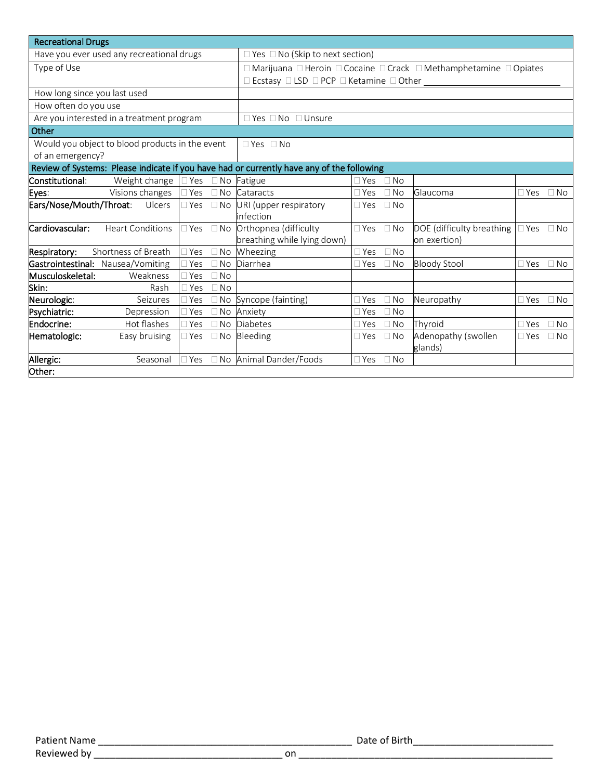| <b>Recreational Drugs</b>                                                                 |                                                                                                          |  |  |  |  |  |  |
|-------------------------------------------------------------------------------------------|----------------------------------------------------------------------------------------------------------|--|--|--|--|--|--|
| Have you ever used any recreational drugs                                                 | $\Box$ Yes $\Box$ No (Skip to next section)                                                              |  |  |  |  |  |  |
| Type of Use                                                                               | □ Marijuana □ Heroin □ Cocaine □ Crack □ Methamphetamine □ Opiates                                       |  |  |  |  |  |  |
|                                                                                           | □ Ecstasy □ LSD □ PCP □ Ketamine □ Other                                                                 |  |  |  |  |  |  |
| How long since you last used                                                              |                                                                                                          |  |  |  |  |  |  |
| How often do you use                                                                      |                                                                                                          |  |  |  |  |  |  |
| Are you interested in a treatment program                                                 | $\Box$ Yes $\Box$ No $\Box$ Unsure                                                                       |  |  |  |  |  |  |
| Other                                                                                     |                                                                                                          |  |  |  |  |  |  |
| Would you object to blood products in the event                                           | $\Box$ Yes $\Box$ No                                                                                     |  |  |  |  |  |  |
| of an emergency?                                                                          |                                                                                                          |  |  |  |  |  |  |
| Review of Systems: Please indicate if you have had or currently have any of the following |                                                                                                          |  |  |  |  |  |  |
| Constitutional:<br>Weight change<br>$\Box$ Yes<br>$\Box$ No                               | Fatigue<br>$\Box$ No<br>$\square$ Yes                                                                    |  |  |  |  |  |  |
| Visions changes<br>$\Box$ Yes<br>$\Box$ No<br>Eyes:                                       | Glaucoma<br>Cataracts<br>$\Box$ Yes<br>$\Box$ No<br>$\Box$ Yes<br>$\Box$ No                              |  |  |  |  |  |  |
| Ears/Nose/Mouth/Throat:<br>Ulcers<br>$\Box$ Yes<br>$\Box$ No                              | URI (upper respiratory<br>$\Box$ No<br>$\Box$ Yes                                                        |  |  |  |  |  |  |
|                                                                                           | infection                                                                                                |  |  |  |  |  |  |
| Cardiovascular:<br><b>Heart Conditions</b><br>$\Box$ No<br>$\exists$ Yes                  | Orthopnea (difficulty<br>DOE (difficulty breathing<br>$\Box$ Yes<br>$\Box$ No<br>$\Box$ Yes<br>$\Box$ No |  |  |  |  |  |  |
|                                                                                           | breathing while lying down)<br>on exertion)                                                              |  |  |  |  |  |  |
| Shortness of Breath<br>Respiratory:<br>Yes                                                | $\Box$ No Wheezing<br>$\Box$ No<br>$\Box$ Yes                                                            |  |  |  |  |  |  |
| Gastrointestinal: Nausea/Vomiting<br>Yes<br>$\Box$ No                                     | Diarrhea<br><b>Bloody Stool</b><br>$\Box$ No<br>$\square$ Yes<br>$\Box$ No<br>$\square$ Yes              |  |  |  |  |  |  |
| Musculoskeletal:<br>Weakness<br>$\neg$ Yes<br>$\Box$ No                                   |                                                                                                          |  |  |  |  |  |  |
| Skin:<br>Rash<br>$\sqcap$ Yes<br>$\Box$ No                                                |                                                                                                          |  |  |  |  |  |  |
| Neurologic:<br>Seizures<br>Yes                                                            | $\Box$ No Syncope (fainting)<br>$\Box$ Yes<br>$\Box$ No<br>Neuropathy<br>$\Box$ Yes<br>$\Box$ No         |  |  |  |  |  |  |
| Psychiatric:<br>Depression<br>Yes                                                         | □ No Anxiety<br>$\square$ Yes<br>$\Box$ No                                                               |  |  |  |  |  |  |
| Hot flashes<br>Endocrine:<br>Yes<br>$\Box$ No                                             | Diabetes<br>Thyroid<br>$\Box$ No<br>$\Box$ Yes<br>$\Box$ No<br>$\Box$ Yes                                |  |  |  |  |  |  |
| Hematologic:<br>Easy bruising<br>$\exists$ Yes<br>$\Box$ No                               | Adenopathy (swollen<br>Bleeding<br>$\Box$ No<br>$\Box$ Yes<br>$\Box$ No<br>$\Box$ Yes<br>glands)         |  |  |  |  |  |  |
| Allergic:<br>Yes<br>Seasonal                                                              | □ No Animal Dander/Foods<br>$\Box$ No<br>$\Box$ Yes                                                      |  |  |  |  |  |  |
| Other:                                                                                    |                                                                                                          |  |  |  |  |  |  |

| Patient Name |    | Date of Birth |
|--------------|----|---------------|
| Reviewed by  | on |               |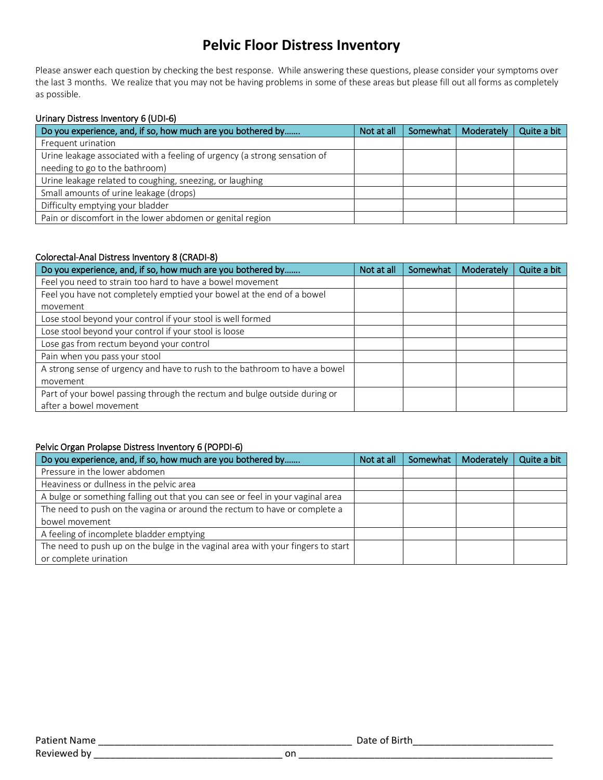# **Pelvic Floor Distress Inventory**

Please answer each question by checking the best response. While answering these questions, please consider your symptoms over the last 3 months. We realize that you may not be having problems in some of these areas but please fill out all forms as completely as possible.

#### Urinary Distress Inventory 6 (UDI-6)

| Do you experience, and, if so, how much are you bothered by               | Not at all | Somewhat | Moderately | Quite a bit |
|---------------------------------------------------------------------------|------------|----------|------------|-------------|
| Frequent urination                                                        |            |          |            |             |
| Urine leakage associated with a feeling of urgency (a strong sensation of |            |          |            |             |
| needing to go to the bathroom)                                            |            |          |            |             |
| Urine leakage related to coughing, sneezing, or laughing                  |            |          |            |             |
| Small amounts of urine leakage (drops)                                    |            |          |            |             |
| Difficulty emptying your bladder                                          |            |          |            |             |
| Pain or discomfort in the lower abdomen or genital region                 |            |          |            |             |

### Colorectal-Anal Distress Inventory 8 (CRADI-8)

| Do you experience, and, if so, how much are you bothered by                | Not at all | Somewhat | Moderately | Quite a bit |
|----------------------------------------------------------------------------|------------|----------|------------|-------------|
| Feel you need to strain too hard to have a bowel movement                  |            |          |            |             |
| Feel you have not completely emptied your bowel at the end of a bowel      |            |          |            |             |
| movement                                                                   |            |          |            |             |
| Lose stool beyond your control if your stool is well formed                |            |          |            |             |
| Lose stool beyond your control if your stool is loose                      |            |          |            |             |
| Lose gas from rectum beyond your control                                   |            |          |            |             |
| Pain when you pass your stool                                              |            |          |            |             |
| A strong sense of urgency and have to rush to the bathroom to have a bowel |            |          |            |             |
| movement                                                                   |            |          |            |             |
| Part of your bowel passing through the rectum and bulge outside during or  |            |          |            |             |
| after a bowel movement                                                     |            |          |            |             |

#### Pelvic Organ Prolapse Distress Inventory 6 (POPDI-6)

| Do you experience, and, if so, how much are you bothered by                     | Not at all | Somewhat | Moderately | Quite a bit |
|---------------------------------------------------------------------------------|------------|----------|------------|-------------|
| Pressure in the lower abdomen                                                   |            |          |            |             |
| Heaviness or dullness in the pelvic area                                        |            |          |            |             |
| A bulge or something falling out that you can see or feel in your vaginal area  |            |          |            |             |
| The need to push on the vagina or around the rectum to have or complete a       |            |          |            |             |
| bowel movement                                                                  |            |          |            |             |
| A feeling of incomplete bladder emptying                                        |            |          |            |             |
| The need to push up on the bulge in the vaginal area with your fingers to start |            |          |            |             |
| or complete urination                                                           |            |          |            |             |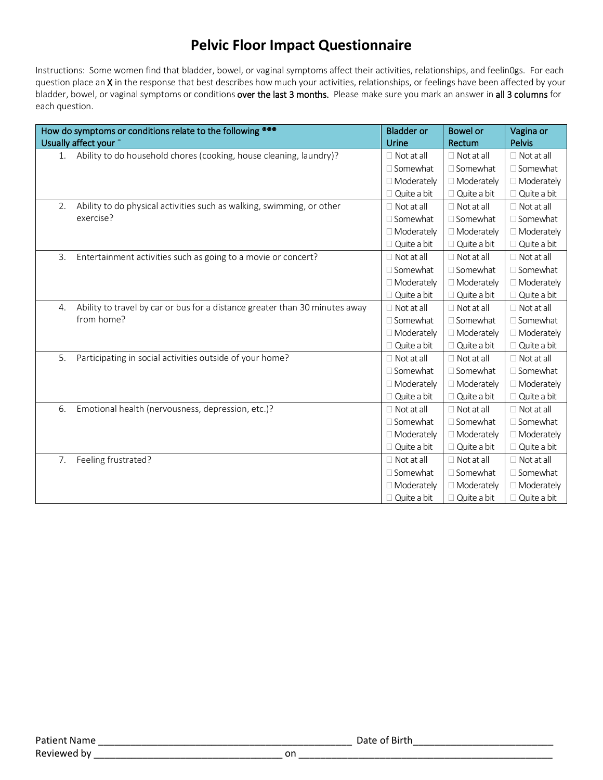# **Pelvic Floor Impact Questionnaire**

Instructions: Some women find that bladder, bowel, or vaginal symptoms affect their activities, relationships, and feelin0gs. For each question place an X in the response that best describes how much your activities, relationships, or feelings have been affected by your bladder, bowel, or vaginal symptoms or conditions over the last 3 months. Please make sure you mark an answer in all 3 columns for each question.

|    | How do symptoms or conditions relate to the following <sup>®®®</sup><br>Usually affect your - | <b>Bladder or</b><br>Urine | <b>Bowel or</b><br>Rectum | Vagina or<br>Pelvis |
|----|-----------------------------------------------------------------------------------------------|----------------------------|---------------------------|---------------------|
| 1. | Ability to do household chores (cooking, house cleaning, laundry)?                            | $\Box$ Not at all          | $\Box$ Not at all         | $\Box$ Not at all   |
|    |                                                                                               | $\Box$ Somewhat            | $\Box$ Somewhat           | □ Somewhat          |
|    |                                                                                               | □ Moderately               | □ Moderately              | □ Moderately        |
|    |                                                                                               | $\Box$ Quite a bit         | $\Box$ Quite a bit        | $\Box$ Quite a bit  |
| 2. | Ability to do physical activities such as walking, swimming, or other                         | $\Box$ Not at all          | $\Box$ Not at all         | $\Box$ Not at all   |
|    | exercise?                                                                                     | $\Box$ Somewhat            | $\Box$ Somewhat           | $\Box$ Somewhat     |
|    |                                                                                               | □ Moderately               | □ Moderately              | □ Moderately        |
|    |                                                                                               | $\Box$ Quite a bit         | $\Box$ Quite a bit        | $\Box$ Quite a bit  |
| 3. | Entertainment activities such as going to a movie or concert?                                 | $\Box$ Not at all          | $\Box$ Not at all         | $\Box$ Not at all   |
|    |                                                                                               | $\Box$ Somewhat            | $\Box$ Somewhat           | □ Somewhat          |
|    |                                                                                               | □ Moderately               | □ Moderately              | □ Moderately        |
|    |                                                                                               | $\Box$ Quite a bit         | $\Box$ Quite a bit        | Quite a bit         |
| 4. | Ability to travel by car or bus for a distance greater than 30 minutes away                   | $\Box$ Not at all          | $\Box$ Not at all         | $\Box$ Not at all   |
|    | from home?                                                                                    | $\Box$ Somewhat            | $\Box$ Somewhat           | □ Somewhat          |
|    |                                                                                               | □ Moderately               | □ Moderately              | □ Moderately        |
|    |                                                                                               | $\Box$ Quite a bit         | Quite a bit               | Quite a bit         |
| 5. | Participating in social activities outside of your home?                                      | $\Box$ Not at all          | $\Box$ Not at all         | $\Box$ Not at all   |
|    |                                                                                               | $\Box$ Somewhat            | $\Box$ Somewhat           | □ Somewhat          |
|    |                                                                                               | □ Moderately               | □ Moderately              | □ Moderately        |
|    |                                                                                               | $\Box$ Quite a bit         | $\Box$ Quite a bit        | Quite a bit         |
| 6. | Emotional health (nervousness, depression, etc.)?                                             | $\Box$ Not at all          | $\Box$ Not at all         | $\Box$ Not at all   |
|    |                                                                                               | $\Box$ Somewhat            | $\Box$ Somewhat           | □ Somewhat          |
|    |                                                                                               | □ Moderately               | □ Moderately              | □ Moderately        |
|    |                                                                                               | $\Box$ Quite a bit         | $\Box$ Quite a bit        | Quite a bit         |
| 7. | Feeling frustrated?                                                                           | $\Box$ Not at all          | $\Box$ Not at all         | $\Box$ Not at all   |
|    |                                                                                               | $\Box$ Somewhat            | □ Somewhat                | □ Somewhat          |
|    |                                                                                               | □ Moderately               | □ Moderately              | □ Moderately        |
|    |                                                                                               | $\Box$ Quite a bit         | $\Box$ Quite a bit        | Quite a bit         |